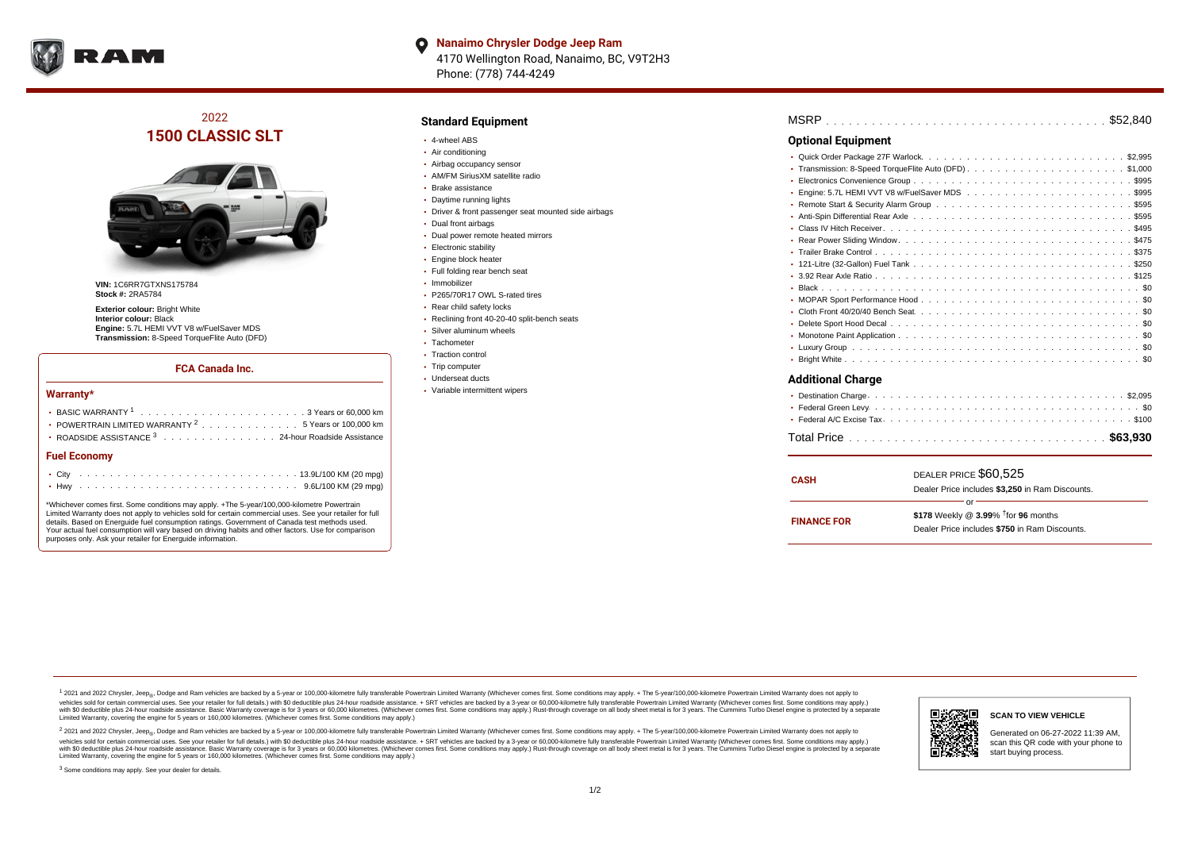

**Nanaimo Chrysler Dodge Jeep Ram**  $\bullet$ 4170 Wellington Road, Nanaimo, BC, V9T2H3 Phone: (778) 744-4249

2022 **1500 CLASSIC SLT**



**VIN:** 1C6RR7GTXNS175784 **Stock #:** 2RA5784

**Exterior colour: Bright White Interior colour:** Black **Engine:** 5.7L HEMI VVT V8 w/FuelSaver MDS **Transmission:** 8-Speed TorqueFlite Auto (DFD)

#### **FCA Canada Inc.**

#### **Warranty\***

| POWERTRAIN LIMITED WARRANTY <sup>2</sup> 5 Years or 100,000 km |  |
|----------------------------------------------------------------|--|
| • ROADSIDE ASSISTANCE 3 24-hour Roadside Assistance            |  |
| <b>Fuel Economy</b>                                            |  |
|                                                                |  |
|                                                                |  |

\*Whichever comes first. Some conditions may apply. +The 5-year/100,000-kilometre Powertrain Limited Warranty does not apply to vehicles sold for certain commercial uses. See your retailer for full details. Based on Energuide fuel consumption ratings. Government of Canada test methods used. Your actual fuel consumption will vary based on driving habits and other factors. Use for comparison purposes only. Ask your retailer for Energuide information.

## **Standard Equipment**

- 4-wheel ABS
- Air conditioning
- Airbag occupancy sensor
- AM/FM SiriusXM satellite radio
- Brake assistance
- Daytime running lights
- Driver & front passenger seat mounted side airbags
- Dual front airbags
- Dual power remote heated mirrors
- · Electronic stability
- **Engine block heater**
- Full folding rear bench seat
- Immobilizer
- P265/70R17 OWL S-rated tires
- Rear child safety locks
- Reclining front 40-20-40 split-bench seats
- Silver aluminum wheels
- Tachometer
- Traction control
- Trip computer
- Underseat ducts
- Variable intermittent wipers

| <b>Optional Equipment</b>                                                                                                                      |  |
|------------------------------------------------------------------------------------------------------------------------------------------------|--|
|                                                                                                                                                |  |
|                                                                                                                                                |  |
| $\bullet$                                                                                                                                      |  |
| ٠                                                                                                                                              |  |
|                                                                                                                                                |  |
| * Anti-Spin Differential Rear Axle <i>both</i> and contained the contained to contain the contained to a student and the contained to the S595 |  |
|                                                                                                                                                |  |
|                                                                                                                                                |  |
|                                                                                                                                                |  |
|                                                                                                                                                |  |
|                                                                                                                                                |  |
|                                                                                                                                                |  |
|                                                                                                                                                |  |
|                                                                                                                                                |  |
|                                                                                                                                                |  |
|                                                                                                                                                |  |
|                                                                                                                                                |  |
|                                                                                                                                                |  |
| <b>Additional Charge</b>                                                                                                                       |  |
| $CO$ $O$<br>. Doctination Charge                                                                                                               |  |

| <b>CASH</b>        | DEALER PRICE \$60,525<br>Dealer Price includes \$3.250 in Ram Discounts.                                  |
|--------------------|-----------------------------------------------------------------------------------------------------------|
| <b>FINANCE FOR</b> | nr<br>\$178 Weekly @ $3.99\%$ <sup>†</sup> for 96 months<br>Dealer Price includes \$750 in Ram Discounts. |

<sup>1</sup> 2021 and 2022 Chrysler, Jeep<sub>®</sub>, Dodge and Ram vehicles are backed by a 5-year or 100,000-kilometre fully transferable Powertrain Limited Warranty (Whichever comes first. Some conditions may apply. + The 5-year/100,000 vehicles sold for certain commercial uses. See your retailer for full details.) with \$0 deductible plus 24 hour roadside assistance. + SRT vehicles are backed by a 3-year or 60,000-kilometre fully transferable Powertrain L versus and contract the mean of the contract of the contract with a contract with a contract the contract of the contract of the contract the contract of the contract of the contract of the contract of the contract of the Limited Warranty, covering the engine for 5 years or 160,000 kilometres. (Whichever comes first. Some conditions may apply.)

2 2021 and 2022 Chrysler, Jeep<sub>®</sub>, Dodge and Ram vehicles are backed by a 5-year or 100,000-kilometre fully transferable Powertrain Limited Warranty (Whichever comes first. Some conditions may apply. + The 5-year/100,000-k vehicles sold for certain commercial uses. See your retailer for full details.) with SO deductible plus 24-hour roadside assistance. + SRT vehicles are backed by a 3-year or 60.000-kilometre fully transferable Powertrain. with S0 deductible plus 24-hour roadside assistance. Basic Warranty coverage is for 3 years or 60,000 kilometres. (Whichever comes first. Some conditions may apply.) Rust-through coverage on all body sheet metal is for 3 y



#### **SCAN TO VIEW VEHICLE**

Generated on 06-27-2022 11:39 AM, scan this QR code with your phone to start buying process.

<sup>3</sup> Some conditions may apply. See your dealer for details.